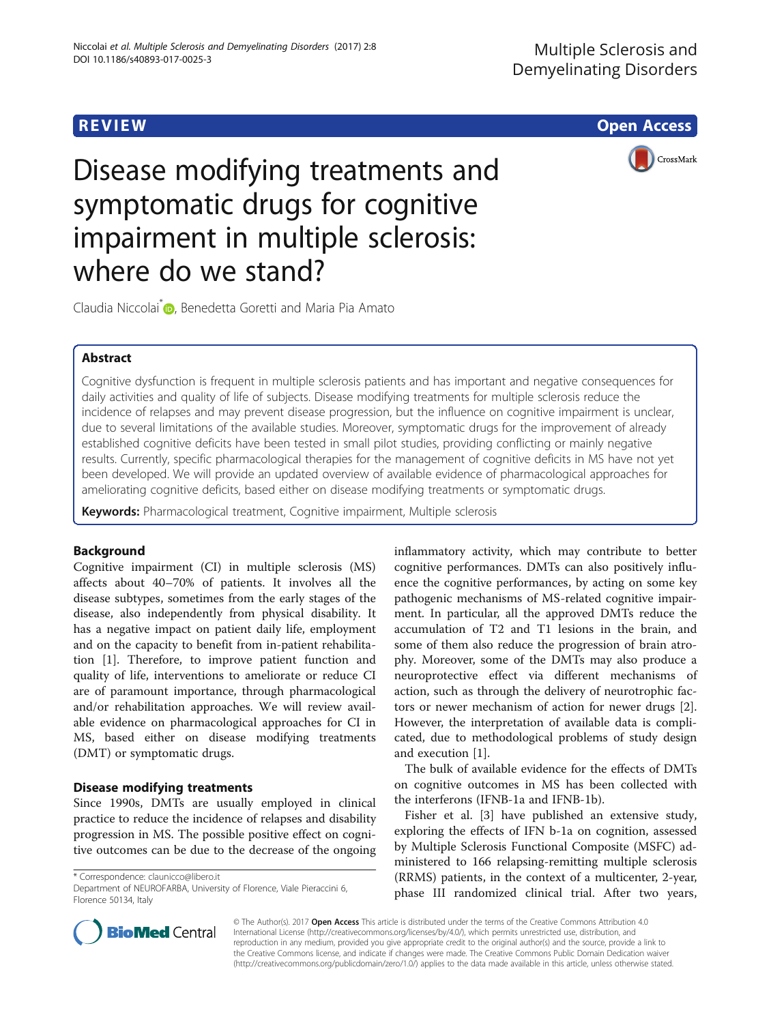**REVIEW CONSIDERED ACCESS** 



Disease modifying treatments and symptomatic drugs for cognitive impairment in multiple sclerosis: where do we stand?

Claudia Niccolai<sup>®</sup> <sub>D</sub>[,](http://orcid.org/0000-0003-2746-7500) Benedetta Goretti and Maria Pia Amato

# Abstract

Cognitive dysfunction is frequent in multiple sclerosis patients and has important and negative consequences for daily activities and quality of life of subjects. Disease modifying treatments for multiple sclerosis reduce the incidence of relapses and may prevent disease progression, but the influence on cognitive impairment is unclear, due to several limitations of the available studies. Moreover, symptomatic drugs for the improvement of already established cognitive deficits have been tested in small pilot studies, providing conflicting or mainly negative results. Currently, specific pharmacological therapies for the management of cognitive deficits in MS have not yet been developed. We will provide an updated overview of available evidence of pharmacological approaches for ameliorating cognitive deficits, based either on disease modifying treatments or symptomatic drugs.

Keywords: Pharmacological treatment, Cognitive impairment, Multiple sclerosis

# Background

Cognitive impairment (CI) in multiple sclerosis (MS) affects about 40–70% of patients. It involves all the disease subtypes, sometimes from the early stages of the disease, also independently from physical disability. It has a negative impact on patient daily life, employment and on the capacity to benefit from in-patient rehabilitation [\[1](#page-5-0)]. Therefore, to improve patient function and quality of life, interventions to ameliorate or reduce CI are of paramount importance, through pharmacological and/or rehabilitation approaches. We will review available evidence on pharmacological approaches for CI in MS, based either on disease modifying treatments (DMT) or symptomatic drugs.

# Disease modifying treatments

Since 1990s, DMTs are usually employed in clinical practice to reduce the incidence of relapses and disability progression in MS. The possible positive effect on cognitive outcomes can be due to the decrease of the ongoing

\* Correspondence: [claunicco@libero.it](mailto:claunicco@libero.it)

inflammatory activity, which may contribute to better cognitive performances. DMTs can also positively influence the cognitive performances, by acting on some key pathogenic mechanisms of MS-related cognitive impairment. In particular, all the approved DMTs reduce the accumulation of T2 and T1 lesions in the brain, and some of them also reduce the progression of brain atrophy. Moreover, some of the DMTs may also produce a neuroprotective effect via different mechanisms of action, such as through the delivery of neurotrophic factors or newer mechanism of action for newer drugs [\[2](#page-5-0)]. However, the interpretation of available data is complicated, due to methodological problems of study design and execution [[1](#page-5-0)].

The bulk of available evidence for the effects of DMTs on cognitive outcomes in MS has been collected with the interferons (IFNB-1a and IFNB-1b).

Fisher et al. [[3\]](#page-5-0) have published an extensive study, exploring the effects of IFN b-1a on cognition, assessed by Multiple Sclerosis Functional Composite (MSFC) administered to 166 relapsing-remitting multiple sclerosis (RRMS) patients, in the context of a multicenter, 2-year, phase III randomized clinical trial. After two years,



© The Author(s). 2017 Open Access This article is distributed under the terms of the Creative Commons Attribution 4.0 International License [\(http://creativecommons.org/licenses/by/4.0/](http://creativecommons.org/licenses/by/4.0/)), which permits unrestricted use, distribution, and reproduction in any medium, provided you give appropriate credit to the original author(s) and the source, provide a link to the Creative Commons license, and indicate if changes were made. The Creative Commons Public Domain Dedication waiver [\(http://creativecommons.org/publicdomain/zero/1.0/](http://creativecommons.org/publicdomain/zero/1.0/)) applies to the data made available in this article, unless otherwise stated.

Department of NEUROFARBA, University of Florence, Viale Pieraccini 6, Florence 50134, Italy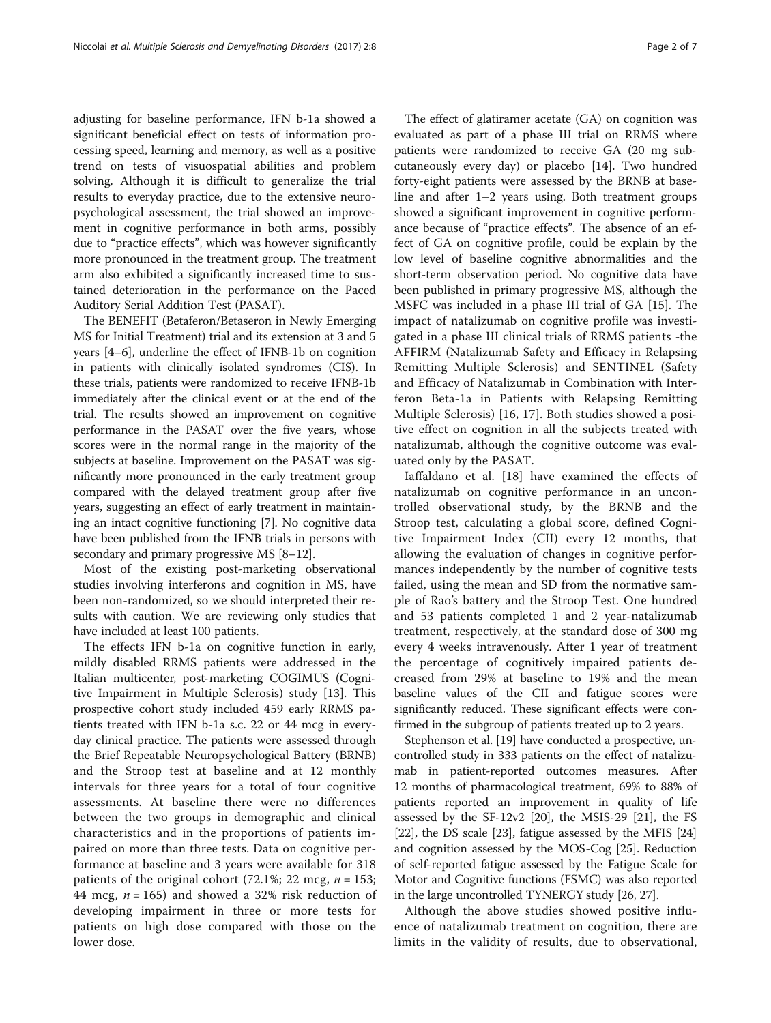adjusting for baseline performance, IFN b-1a showed a significant beneficial effect on tests of information processing speed, learning and memory, as well as a positive trend on tests of visuospatial abilities and problem solving. Although it is difficult to generalize the trial results to everyday practice, due to the extensive neuropsychological assessment, the trial showed an improvement in cognitive performance in both arms, possibly due to "practice effects", which was however significantly more pronounced in the treatment group. The treatment arm also exhibited a significantly increased time to sustained deterioration in the performance on the Paced Auditory Serial Addition Test (PASAT).

The BENEFIT (Betaferon/Betaseron in Newly Emerging MS for Initial Treatment) trial and its extension at 3 and 5 years [\[4](#page-5-0)–[6\]](#page-5-0), underline the effect of IFNB-1b on cognition in patients with clinically isolated syndromes (CIS). In these trials, patients were randomized to receive IFNB-1b immediately after the clinical event or at the end of the trial. The results showed an improvement on cognitive performance in the PASAT over the five years, whose scores were in the normal range in the majority of the subjects at baseline. Improvement on the PASAT was significantly more pronounced in the early treatment group compared with the delayed treatment group after five years, suggesting an effect of early treatment in maintaining an intact cognitive functioning [\[7](#page-5-0)]. No cognitive data have been published from the IFNB trials in persons with secondary and primary progressive MS [\[8](#page-5-0)–[12](#page-5-0)].

Most of the existing post-marketing observational studies involving interferons and cognition in MS, have been non-randomized, so we should interpreted their results with caution. We are reviewing only studies that have included at least 100 patients.

The effects IFN b-1a on cognitive function in early, mildly disabled RRMS patients were addressed in the Italian multicenter, post-marketing COGIMUS (Cognitive Impairment in Multiple Sclerosis) study [[13\]](#page-5-0). This prospective cohort study included 459 early RRMS patients treated with IFN b-1a s.c. 22 or 44 mcg in everyday clinical practice. The patients were assessed through the Brief Repeatable Neuropsychological Battery (BRNB) and the Stroop test at baseline and at 12 monthly intervals for three years for a total of four cognitive assessments. At baseline there were no differences between the two groups in demographic and clinical characteristics and in the proportions of patients impaired on more than three tests. Data on cognitive performance at baseline and 3 years were available for 318 patients of the original cohort (72.1%; 22 mcg,  $n = 153$ ; 44 mcg,  $n = 165$ ) and showed a 32% risk reduction of developing impairment in three or more tests for patients on high dose compared with those on the lower dose.

The effect of glatiramer acetate (GA) on cognition was evaluated as part of a phase III trial on RRMS where patients were randomized to receive GA (20 mg subcutaneously every day) or placebo [\[14](#page-5-0)]. Two hundred forty-eight patients were assessed by the BRNB at baseline and after 1–2 years using. Both treatment groups showed a significant improvement in cognitive performance because of "practice effects". The absence of an effect of GA on cognitive profile, could be explain by the low level of baseline cognitive abnormalities and the short-term observation period. No cognitive data have been published in primary progressive MS, although the MSFC was included in a phase III trial of GA [[15\]](#page-5-0). The impact of natalizumab on cognitive profile was investigated in a phase III clinical trials of RRMS patients -the AFFIRM (Natalizumab Safety and Efficacy in Relapsing Remitting Multiple Sclerosis) and SENTINEL (Safety and Efficacy of Natalizumab in Combination with Interferon Beta-1a in Patients with Relapsing Remitting Multiple Sclerosis) [[16, 17\]](#page-5-0). Both studies showed a positive effect on cognition in all the subjects treated with natalizumab, although the cognitive outcome was evaluated only by the PASAT.

Iaffaldano et al. [[18](#page-5-0)] have examined the effects of natalizumab on cognitive performance in an uncontrolled observational study, by the BRNB and the Stroop test, calculating a global score, defined Cognitive Impairment Index (CII) every 12 months, that allowing the evaluation of changes in cognitive performances independently by the number of cognitive tests failed, using the mean and SD from the normative sample of Rao's battery and the Stroop Test. One hundred and 53 patients completed 1 and 2 year-natalizumab treatment, respectively, at the standard dose of 300 mg every 4 weeks intravenously. After 1 year of treatment the percentage of cognitively impaired patients decreased from 29% at baseline to 19% and the mean baseline values of the CII and fatigue scores were significantly reduced. These significant effects were confirmed in the subgroup of patients treated up to 2 years.

Stephenson et al. [\[19\]](#page-5-0) have conducted a prospective, uncontrolled study in 333 patients on the effect of natalizumab in patient-reported outcomes measures. After 12 months of pharmacological treatment, 69% to 88% of patients reported an improvement in quality of life assessed by the SF-12v2 [[20](#page-5-0)], the MSIS-29 [\[21\]](#page-5-0), the FS [[22](#page-5-0)], the DS scale [\[23\]](#page-5-0), fatigue assessed by the MFIS [[24](#page-5-0)] and cognition assessed by the MOS-Cog [\[25\]](#page-5-0). Reduction of self-reported fatigue assessed by the Fatigue Scale for Motor and Cognitive functions (FSMC) was also reported in the large uncontrolled TYNERGY study [\[26, 27\]](#page-5-0).

Although the above studies showed positive influence of natalizumab treatment on cognition, there are limits in the validity of results, due to observational,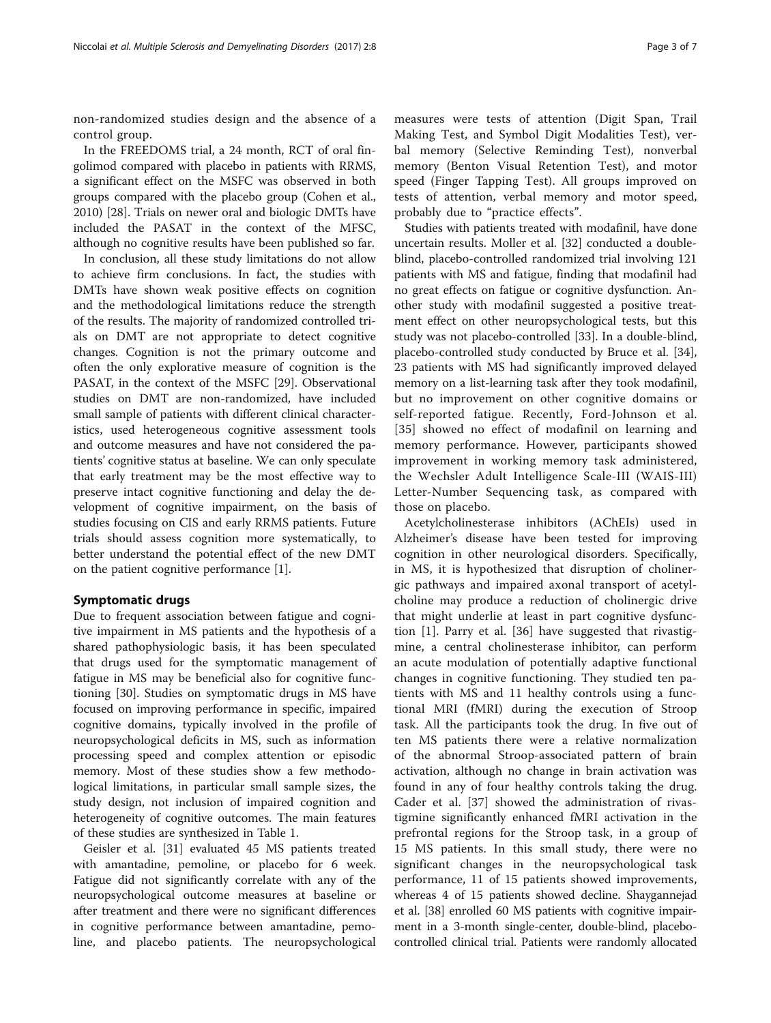non-randomized studies design and the absence of a control group.

In the FREEDOMS trial, a 24 month, RCT of oral fingolimod compared with placebo in patients with RRMS, a significant effect on the MSFC was observed in both groups compared with the placebo group (Cohen et al., 2010) [[28](#page-6-0)]. Trials on newer oral and biologic DMTs have included the PASAT in the context of the MFSC, although no cognitive results have been published so far.

In conclusion, all these study limitations do not allow to achieve firm conclusions. In fact, the studies with DMTs have shown weak positive effects on cognition and the methodological limitations reduce the strength of the results. The majority of randomized controlled trials on DMT are not appropriate to detect cognitive changes. Cognition is not the primary outcome and often the only explorative measure of cognition is the PASAT, in the context of the MSFC [[29\]](#page-6-0). Observational studies on DMT are non-randomized, have included small sample of patients with different clinical characteristics, used heterogeneous cognitive assessment tools and outcome measures and have not considered the patients' cognitive status at baseline. We can only speculate that early treatment may be the most effective way to preserve intact cognitive functioning and delay the development of cognitive impairment, on the basis of studies focusing on CIS and early RRMS patients. Future trials should assess cognition more systematically, to better understand the potential effect of the new DMT on the patient cognitive performance [[1\]](#page-5-0).

# Symptomatic drugs

Due to frequent association between fatigue and cognitive impairment in MS patients and the hypothesis of a shared pathophysiologic basis, it has been speculated that drugs used for the symptomatic management of fatigue in MS may be beneficial also for cognitive functioning [[30](#page-6-0)]. Studies on symptomatic drugs in MS have focused on improving performance in specific, impaired cognitive domains, typically involved in the profile of neuropsychological deficits in MS, such as information processing speed and complex attention or episodic memory. Most of these studies show a few methodological limitations, in particular small sample sizes, the study design, not inclusion of impaired cognition and heterogeneity of cognitive outcomes. The main features of these studies are synthesized in Table [1.](#page-3-0)

Geisler et al. [[31\]](#page-6-0) evaluated 45 MS patients treated with amantadine, pemoline, or placebo for 6 week. Fatigue did not significantly correlate with any of the neuropsychological outcome measures at baseline or after treatment and there were no significant differences in cognitive performance between amantadine, pemoline, and placebo patients. The neuropsychological

measures were tests of attention (Digit Span, Trail Making Test, and Symbol Digit Modalities Test), verbal memory (Selective Reminding Test), nonverbal memory (Benton Visual Retention Test), and motor speed (Finger Tapping Test). All groups improved on tests of attention, verbal memory and motor speed, probably due to "practice effects".

Studies with patients treated with modafinil, have done uncertain results. Moller et al. [[32\]](#page-6-0) conducted a doubleblind, placebo-controlled randomized trial involving 121 patients with MS and fatigue, finding that modafinil had no great effects on fatigue or cognitive dysfunction. Another study with modafinil suggested a positive treatment effect on other neuropsychological tests, but this study was not placebo-controlled [\[33\]](#page-6-0). In a double-blind, placebo-controlled study conducted by Bruce et al. [\[34](#page-6-0)], 23 patients with MS had significantly improved delayed memory on a list-learning task after they took modafinil, but no improvement on other cognitive domains or self-reported fatigue. Recently, Ford-Johnson et al. [[35](#page-6-0)] showed no effect of modafinil on learning and memory performance. However, participants showed improvement in working memory task administered, the Wechsler Adult Intelligence Scale-III (WAIS-III) Letter-Number Sequencing task, as compared with those on placebo.

Acetylcholinesterase inhibitors (AChEIs) used in Alzheimer's disease have been tested for improving cognition in other neurological disorders. Specifically, in MS, it is hypothesized that disruption of cholinergic pathways and impaired axonal transport of acetylcholine may produce a reduction of cholinergic drive that might underlie at least in part cognitive dysfunction [[1\]](#page-5-0). Parry et al. [[36\]](#page-6-0) have suggested that rivastigmine, a central cholinesterase inhibitor, can perform an acute modulation of potentially adaptive functional changes in cognitive functioning. They studied ten patients with MS and 11 healthy controls using a functional MRI (fMRI) during the execution of Stroop task. All the participants took the drug. In five out of ten MS patients there were a relative normalization of the abnormal Stroop-associated pattern of brain activation, although no change in brain activation was found in any of four healthy controls taking the drug. Cader et al. [\[37](#page-6-0)] showed the administration of rivastigmine significantly enhanced fMRI activation in the prefrontal regions for the Stroop task, in a group of 15 MS patients. In this small study, there were no significant changes in the neuropsychological task performance, 11 of 15 patients showed improvements, whereas 4 of 15 patients showed decline. Shaygannejad et al. [\[38\]](#page-6-0) enrolled 60 MS patients with cognitive impairment in a 3-month single-center, double-blind, placebocontrolled clinical trial. Patients were randomly allocated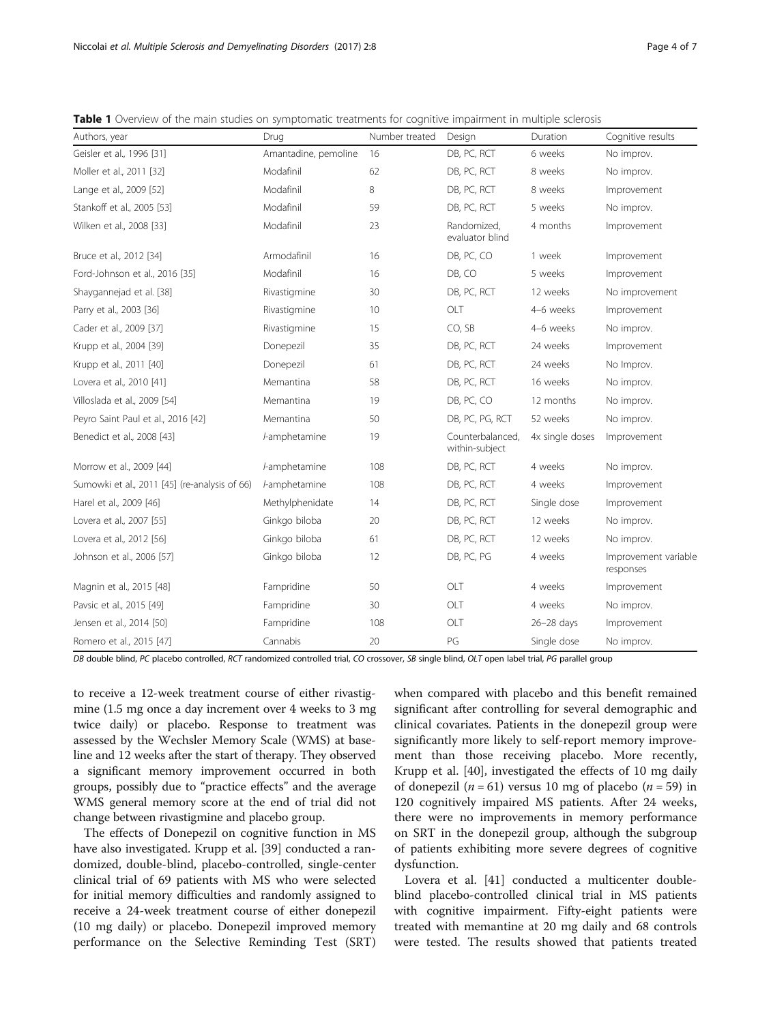| Authors, year                                 | Drug                 | Number treated | Design                             | Duration        | Cognitive results                 |
|-----------------------------------------------|----------------------|----------------|------------------------------------|-----------------|-----------------------------------|
| Geisler et al., 1996 [31]                     | Amantadine, pemoline | 16             | DB, PC, RCT                        | 6 weeks         | No improv.                        |
| Moller et al., 2011 [32]                      | Modafinil            | 62             | DB, PC, RCT                        | 8 weeks         | No improv.                        |
| Lange et al., 2009 [52]                       | Modafinil            | 8              | DB, PC, RCT                        | 8 weeks         | Improvement                       |
| Stankoff et al., 2005 [53]                    | Modafinil            | 59             | DB, PC, RCT                        | 5 weeks         | No improv.                        |
| Wilken et al., 2008 [33]                      | Modafinil            | 23             | Randomized,<br>evaluator blind     | 4 months        | Improvement                       |
| Bruce et al., 2012 [34]                       | Armodafinil          | 16             | DB, PC, CO                         | 1 week          | Improvement                       |
| Ford-Johnson et al., 2016 [35]                | Modafinil            | 16             | DB, CO                             | 5 weeks         | Improvement                       |
| Shaygannejad et al. [38]                      | Rivastigmine         | 30             | DB, PC, RCT                        | 12 weeks        | No improvement                    |
| Parry et al., 2003 [36]                       | Rivastigmine         | 10             | OLT                                | 4-6 weeks       | Improvement                       |
| Cader et al., 2009 [37]                       | Rivastigmine         | 15             | CO, SB                             | 4-6 weeks       | No improv.                        |
| Krupp et al., 2004 [39]                       | Donepezil            | 35             | DB, PC, RCT                        | 24 weeks        | Improvement                       |
| Krupp et al., 2011 [40]                       | Donepezil            | 61             | DB, PC, RCT                        | 24 weeks        | No Improv.                        |
| Lovera et al., 2010 [41]                      | Memantina            | 58             | DB, PC, RCT                        | 16 weeks        | No improv.                        |
| Villoslada et al., 2009 [54]                  | Memantina            | 19             | DB, PC, CO                         | 12 months       | No improv.                        |
| Peyro Saint Paul et al., 2016 [42]            | Memantina            | 50             | DB, PC, PG, RCT                    | 52 weeks        | No improv.                        |
| Benedict et al., 2008 [43]                    | /-amphetamine        | 19             | Counterbalanced.<br>within-subject | 4x single doses | Improvement                       |
| Morrow et al., 2009 [44]                      | /-amphetamine        | 108            | DB, PC, RCT                        | 4 weeks         | No improv.                        |
| Sumowki et al., 2011 [45] (re-analysis of 66) | /-amphetamine        | 108            | DB, PC, RCT                        | 4 weeks         | Improvement                       |
| Harel et al., 2009 [46]                       | Methylphenidate      | 14             | DB, PC, RCT                        | Single dose     | Improvement                       |
| Lovera et al., 2007 [55]                      | Ginkgo biloba        | 20             | DB, PC, RCT                        | 12 weeks        | No improv.                        |
| Lovera et al., 2012 [56]                      | Ginkgo biloba        | 61             | DB, PC, RCT                        | 12 weeks        | No improv.                        |
| Johnson et al., 2006 [57]                     | Ginkgo biloba        | 12             | DB, PC, PG                         | 4 weeks         | Improvement variable<br>responses |
| Magnin et al., 2015 [48]                      | Fampridine           | 50             | OLT                                | 4 weeks         | Improvement                       |
| Pavsic et al., 2015 [49]                      | Fampridine           | 30             | OLT                                | 4 weeks         | No improv.                        |
| Jensen et al., 2014 [50]                      | Fampridine           | 108            | OLT                                | 26-28 days      | Improvement                       |
| Romero et al., 2015 [47]                      | Cannabis             | 20             | PG                                 | Single dose     | No improv.                        |

<span id="page-3-0"></span>Table 1 Overview of the main studies on symptomatic treatments for cognitive impairment in multiple sclerosis

DB double blind, PC placebo controlled, RCT randomized controlled trial, CO crossover, SB single blind, OLT open label trial, PG parallel group

to receive a 12-week treatment course of either rivastigmine (1.5 mg once a day increment over 4 weeks to 3 mg twice daily) or placebo. Response to treatment was assessed by the Wechsler Memory Scale (WMS) at baseline and 12 weeks after the start of therapy. They observed a significant memory improvement occurred in both groups, possibly due to "practice effects" and the average WMS general memory score at the end of trial did not change between rivastigmine and placebo group.

The effects of Donepezil on cognitive function in MS have also investigated. Krupp et al. [[39\]](#page-6-0) conducted a randomized, double-blind, placebo-controlled, single-center clinical trial of 69 patients with MS who were selected for initial memory difficulties and randomly assigned to receive a 24-week treatment course of either donepezil (10 mg daily) or placebo. Donepezil improved memory performance on the Selective Reminding Test (SRT) when compared with placebo and this benefit remained significant after controlling for several demographic and clinical covariates. Patients in the donepezil group were significantly more likely to self-report memory improvement than those receiving placebo. More recently, Krupp et al. [\[40](#page-6-0)], investigated the effects of 10 mg daily of donepezil ( $n = 61$ ) versus 10 mg of placebo ( $n = 59$ ) in 120 cognitively impaired MS patients. After 24 weeks, there were no improvements in memory performance on SRT in the donepezil group, although the subgroup of patients exhibiting more severe degrees of cognitive dysfunction.

Lovera et al. [\[41](#page-6-0)] conducted a multicenter doubleblind placebo-controlled clinical trial in MS patients with cognitive impairment. Fifty-eight patients were treated with memantine at 20 mg daily and 68 controls were tested. The results showed that patients treated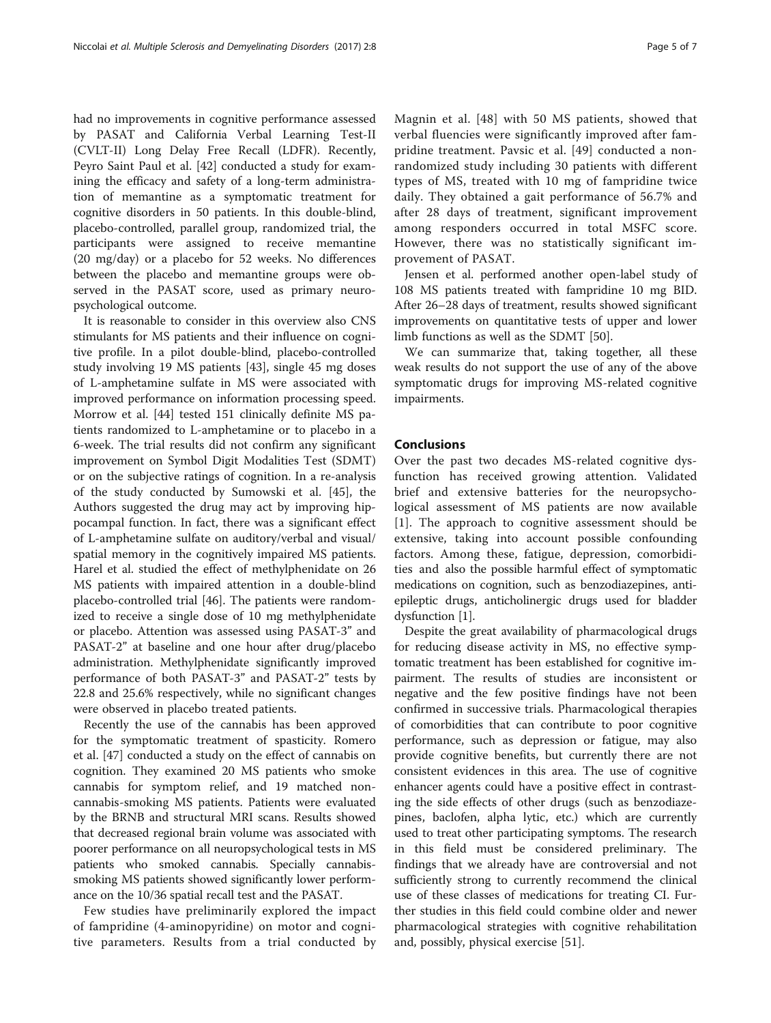had no improvements in cognitive performance assessed by PASAT and California Verbal Learning Test-II (CVLT-II) Long Delay Free Recall (LDFR). Recently, Peyro Saint Paul et al. [[42\]](#page-6-0) conducted a study for examining the efficacy and safety of a long-term administration of memantine as a symptomatic treatment for cognitive disorders in 50 patients. In this double-blind, placebo-controlled, parallel group, randomized trial, the participants were assigned to receive memantine (20 mg/day) or a placebo for 52 weeks. No differences between the placebo and memantine groups were observed in the PASAT score, used as primary neuropsychological outcome.

It is reasonable to consider in this overview also CNS stimulants for MS patients and their influence on cognitive profile. In a pilot double-blind, placebo-controlled study involving 19 MS patients [[43\]](#page-6-0), single 45 mg doses of L-amphetamine sulfate in MS were associated with improved performance on information processing speed. Morrow et al. [[44\]](#page-6-0) tested 151 clinically definite MS patients randomized to L-amphetamine or to placebo in a 6-week. The trial results did not confirm any significant improvement on Symbol Digit Modalities Test (SDMT) or on the subjective ratings of cognition. In a re-analysis of the study conducted by Sumowski et al. [\[45\]](#page-6-0), the Authors suggested the drug may act by improving hippocampal function. In fact, there was a significant effect of L-amphetamine sulfate on auditory/verbal and visual/ spatial memory in the cognitively impaired MS patients. Harel et al. studied the effect of methylphenidate on 26 MS patients with impaired attention in a double-blind placebo-controlled trial [\[46\]](#page-6-0). The patients were randomized to receive a single dose of 10 mg methylphenidate or placebo. Attention was assessed using PASAT-3" and PASAT-2" at baseline and one hour after drug/placebo administration. Methylphenidate significantly improved performance of both PASAT-3" and PASAT-2" tests by 22.8 and 25.6% respectively, while no significant changes were observed in placebo treated patients.

Recently the use of the cannabis has been approved for the symptomatic treatment of spasticity. Romero et al. [\[47](#page-6-0)] conducted a study on the effect of cannabis on cognition. They examined 20 MS patients who smoke cannabis for symptom relief, and 19 matched noncannabis-smoking MS patients. Patients were evaluated by the BRNB and structural MRI scans. Results showed that decreased regional brain volume was associated with poorer performance on all neuropsychological tests in MS patients who smoked cannabis. Specially cannabissmoking MS patients showed significantly lower performance on the 10/36 spatial recall test and the PASAT.

Few studies have preliminarily explored the impact of fampridine (4-aminopyridine) on motor and cognitive parameters. Results from a trial conducted by

Magnin et al. [\[48](#page-6-0)] with 50 MS patients, showed that verbal fluencies were significantly improved after fampridine treatment. Pavsic et al. [[49\]](#page-6-0) conducted a nonrandomized study including 30 patients with different types of MS, treated with 10 mg of fampridine twice daily. They obtained a gait performance of 56.7% and after 28 days of treatment, significant improvement among responders occurred in total MSFC score. However, there was no statistically significant improvement of PASAT.

Jensen et al. performed another open-label study of 108 MS patients treated with fampridine 10 mg BID. After 26–28 days of treatment, results showed significant improvements on quantitative tests of upper and lower limb functions as well as the SDMT [[50](#page-6-0)].

We can summarize that, taking together, all these weak results do not support the use of any of the above symptomatic drugs for improving MS-related cognitive impairments.

## Conclusions

Over the past two decades MS-related cognitive dysfunction has received growing attention. Validated brief and extensive batteries for the neuropsychological assessment of MS patients are now available [[1\]](#page-5-0). The approach to cognitive assessment should be extensive, taking into account possible confounding factors. Among these, fatigue, depression, comorbidities and also the possible harmful effect of symptomatic medications on cognition, such as benzodiazepines, antiepileptic drugs, anticholinergic drugs used for bladder dysfunction [\[1](#page-5-0)].

Despite the great availability of pharmacological drugs for reducing disease activity in MS, no effective symptomatic treatment has been established for cognitive impairment. The results of studies are inconsistent or negative and the few positive findings have not been confirmed in successive trials. Pharmacological therapies of comorbidities that can contribute to poor cognitive performance, such as depression or fatigue, may also provide cognitive benefits, but currently there are not consistent evidences in this area. The use of cognitive enhancer agents could have a positive effect in contrasting the side effects of other drugs (such as benzodiazepines, baclofen, alpha lytic, etc.) which are currently used to treat other participating symptoms. The research in this field must be considered preliminary. The findings that we already have are controversial and not sufficiently strong to currently recommend the clinical use of these classes of medications for treating CI. Further studies in this field could combine older and newer pharmacological strategies with cognitive rehabilitation and, possibly, physical exercise [[51](#page-6-0)].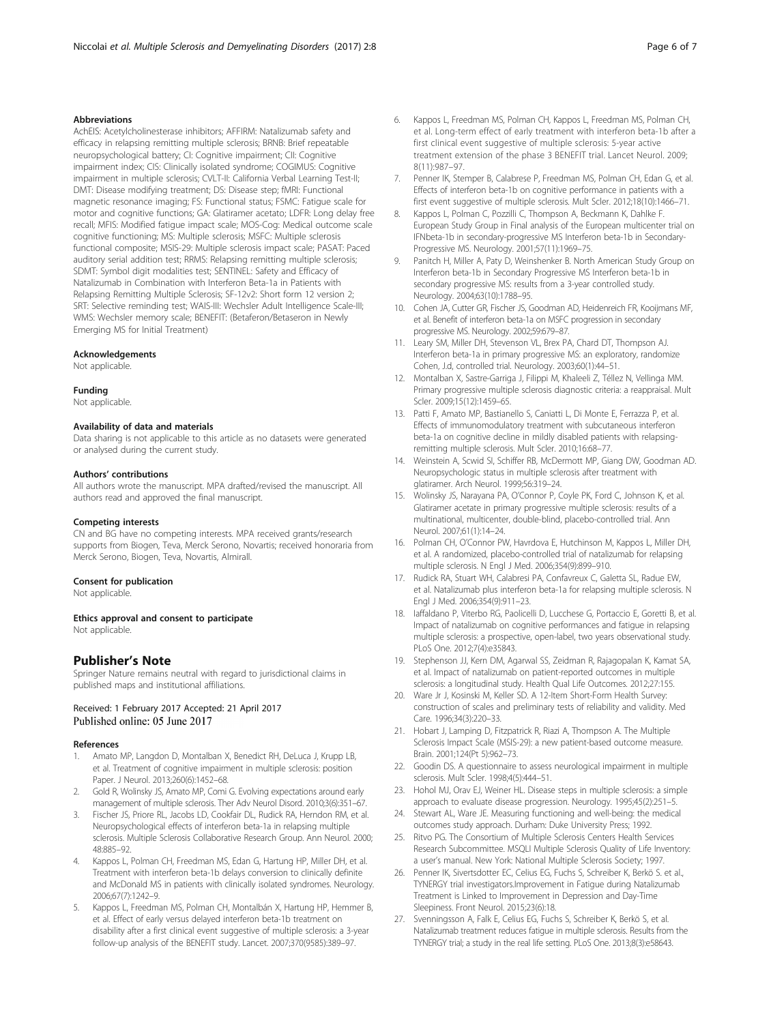## <span id="page-5-0"></span>Abbreviations

AchEIS: Acetylcholinesterase inhibitors; AFFIRM: Natalizumab safety and efficacy in relapsing remitting multiple sclerosis; BRNB: Brief repeatable neuropsychological battery; CI: Cognitive impairment; CII: Cognitive impairment index; CIS: Clinically isolated syndrome; COGIMUS: Cognitive impairment in multiple sclerosis; CVLT-II: California Verbal Learning Test-II; DMT: Disease modifying treatment; DS: Disease step; fMRI: Functional magnetic resonance imaging; FS: Functional status; FSMC: Fatigue scale for motor and cognitive functions; GA: Glatiramer acetato; LDFR: Long delay free recall; MFIS: Modified fatigue impact scale; MOS-Cog: Medical outcome scale cognitive functioning; MS: Multiple sclerosis; MSFC: Multiple sclerosis functional composite; MSIS-29: Multiple sclerosis impact scale; PASAT: Paced auditory serial addition test; RRMS: Relapsing remitting multiple sclerosis; SDMT: Symbol digit modalities test; SENTINEL: Safety and Efficacy of Natalizumab in Combination with Interferon Beta-1a in Patients with Relapsing Remitting Multiple Sclerosis; SF-12v2: Short form 12 version 2; SRT: Selective reminding test; WAIS-III: Wechsler Adult Intelligence Scale-III; WMS: Wechsler memory scale; BENEFIT: (Betaferon/Betaseron in Newly Emerging MS for Initial Treatment)

## Acknowledgements

Not applicable.

#### Funding

Not applicable.

#### Availability of data and materials

Data sharing is not applicable to this article as no datasets were generated or analysed during the current study.

### Authors' contributions

All authors wrote the manuscript. MPA drafted/revised the manuscript. All authors read and approved the final manuscript.

#### Competing interests

CN and BG have no competing interests. MPA received grants/research supports from Biogen, Teva, Merck Serono, Novartis; received honoraria from Merck Serono, Biogen, Teva, Novartis, Almirall.

#### Consent for publication

Not applicable.

Ethics approval and consent to participate Not applicable.

## Publisher's Note

Springer Nature remains neutral with regard to jurisdictional claims in published maps and institutional affiliations.

# Received: 1 February 2017 Accepted: 21 April 2017

#### References

- Amato MP, Langdon D, Montalban X, Benedict RH, DeLuca J, Krupp LB, et al. Treatment of cognitive impairment in multiple sclerosis: position Paper. J Neurol. 2013;260(6):1452–68.
- 2. Gold R, Wolinsky JS, Amato MP, Comi G. Evolving expectations around early management of multiple sclerosis. Ther Adv Neurol Disord. 2010;3(6):351–67.
- Fischer JS, Priore RL, Jacobs LD, Cookfair DL, Rudick RA, Herndon RM, et al. Neuropsychological effects of interferon beta-1a in relapsing multiple sclerosis. Multiple Sclerosis Collaborative Research Group. Ann Neurol. 2000; 48:885–92.
- 4. Kappos L, Polman CH, Freedman MS, Edan G, Hartung HP, Miller DH, et al. Treatment with interferon beta-1b delays conversion to clinically definite and McDonald MS in patients with clinically isolated syndromes. Neurology. 2006;67(7):1242–9.
- Kappos L, Freedman MS, Polman CH, Montalbán X, Hartung HP, Hemmer B, et al. Effect of early versus delayed interferon beta-1b treatment on disability after a first clinical event suggestive of multiple sclerosis: a 3-year follow-up analysis of the BENEFIT study. Lancet. 2007;370(9585):389–97.
- 6. Kappos L, Freedman MS, Polman CH, Kappos L, Freedman MS, Polman CH, et al. Long-term effect of early treatment with interferon beta-1b after a first clinical event suggestive of multiple sclerosis: 5-year active treatment extension of the phase 3 BENEFIT trial. Lancet Neurol. 2009; 8(11):987–97.
- 7. Penner IK, Stemper B, Calabrese P, Freedman MS, Polman CH, Edan G, et al. Effects of interferon beta-1b on cognitive performance in patients with a first event suggestive of multiple sclerosis. Mult Scler. 2012;18(10):1466–71.
- 8. Kappos L, Polman C, Pozzilli C, Thompson A, Beckmann K, Dahlke F. European Study Group in Final analysis of the European multicenter trial on IFNbeta-1b in secondary-progressive MS Interferon beta-1b in Secondary-Progressive MS. Neurology. 2001;57(11):1969–75.
- 9. Panitch H, Miller A, Paty D, Weinshenker B. North American Study Group on Interferon beta-1b in Secondary Progressive MS Interferon beta-1b in secondary progressive MS: results from a 3-year controlled study. Neurology. 2004;63(10):1788–95.
- 10. Cohen JA, Cutter GR, Fischer JS, Goodman AD, Heidenreich FR, Kooijmans MF, et al. Benefit of interferon beta-1a on MSFC progression in secondary progressive MS. Neurology. 2002;59:679–87.
- 11. Leary SM, Miller DH, Stevenson VL, Brex PA, Chard DT, Thompson AJ. Interferon beta-1a in primary progressive MS: an exploratory, randomize Cohen, J.d, controlled trial. Neurology. 2003;60(1):44–51.
- 12. Montalban X, Sastre-Garriga J, Filippi M, Khaleeli Z, Téllez N, Vellinga MM. Primary progressive multiple sclerosis diagnostic criteria: a reappraisal. Mult Scler. 2009;15(12):1459–65.
- 13. Patti F, Amato MP, Bastianello S, Caniatti L, Di Monte E, Ferrazza P, et al. Effects of immunomodulatory treatment with subcutaneous interferon beta-1a on cognitive decline in mildly disabled patients with relapsingremitting multiple sclerosis. Mult Scler. 2010;16:68–77.
- 14. Weinstein A, Scwid SI, Schiffer RB, McDermott MP, Giang DW, Goodman AD. Neuropsychologic status in multiple sclerosis after treatment with glatiramer. Arch Neurol. 1999;56:319–24.
- 15. Wolinsky JS, Narayana PA, O'Connor P, Coyle PK, Ford C, Johnson K, et al. Glatiramer acetate in primary progressive multiple sclerosis: results of a multinational, multicenter, double-blind, placebo-controlled trial. Ann Neurol. 2007;61(1):14–24.
- 16. Polman CH, O'Connor PW, Havrdova E, Hutchinson M, Kappos L, Miller DH, et al. A randomized, placebo-controlled trial of natalizumab for relapsing multiple sclerosis. N Engl J Med. 2006;354(9):899–910.
- 17. Rudick RA, Stuart WH, Calabresi PA, Confavreux C, Galetta SL, Radue EW, et al. Natalizumab plus interferon beta-1a for relapsing multiple sclerosis. N Engl J Med. 2006;354(9):911–23.
- 18. Iaffaldano P, Viterbo RG, Paolicelli D, Lucchese G, Portaccio E, Goretti B, et al. Impact of natalizumab on cognitive performances and fatigue in relapsing multiple sclerosis: a prospective, open-label, two years observational study. PLoS One. 2012;7(4):e35843.
- 19. Stephenson JJ, Kern DM, Agarwal SS, Zeidman R, Rajagopalan K, Kamat SA, et al. Impact of natalizumab on patient-reported outcomes in multiple sclerosis: a longitudinal study. Health Qual Life Outcomes. 2012;27:155.
- 20. Ware Jr J, Kosinski M, Keller SD. A 12-Item Short-Form Health Survey: construction of scales and preliminary tests of reliability and validity. Med Care. 1996;34(3):220–33.
- 21. Hobart J, Lamping D, Fitzpatrick R, Riazi A, Thompson A. The Multiple Sclerosis Impact Scale (MSIS-29): a new patient-based outcome measure. Brain. 2001;124(Pt 5):962–73.
- 22. Goodin DS. A questionnaire to assess neurological impairment in multiple sclerosis. Mult Scler. 1998;4(5):444–51.
- 23. Hohol MJ, Orav EJ, Weiner HL. Disease steps in multiple sclerosis: a simple approach to evaluate disease progression. Neurology. 1995;45(2):251–5.
- 24. Stewart AL, Ware JE. Measuring functioning and well-being: the medical outcomes study approach. Durham: Duke University Press; 1992.
- 25. Ritvo PG. The Consortium of Multiple Sclerosis Centers Health Services Research Subcommittee. MSQLI Multiple Sclerosis Quality of Life Inventory: a user's manual. New York: National Multiple Sclerosis Society; 1997.
- 26. Penner IK, Sivertsdotter EC, Celius EG, Fuchs S, Schreiber K, Berkö S. et al., TYNERGY trial investigators.Improvement in Fatigue during Natalizumab Treatment is Linked to Improvement in Depression and Day-Time Sleepiness. Front Neurol. 2015;23(6):18.
- 27. Svenningsson A, Falk E, Celius EG, Fuchs S, Schreiber K, Berkö S, et al. Natalizumab treatment reduces fatigue in multiple sclerosis. Results from the TYNERGY trial; a study in the real life setting. PLoS One. 2013;8(3):e58643.